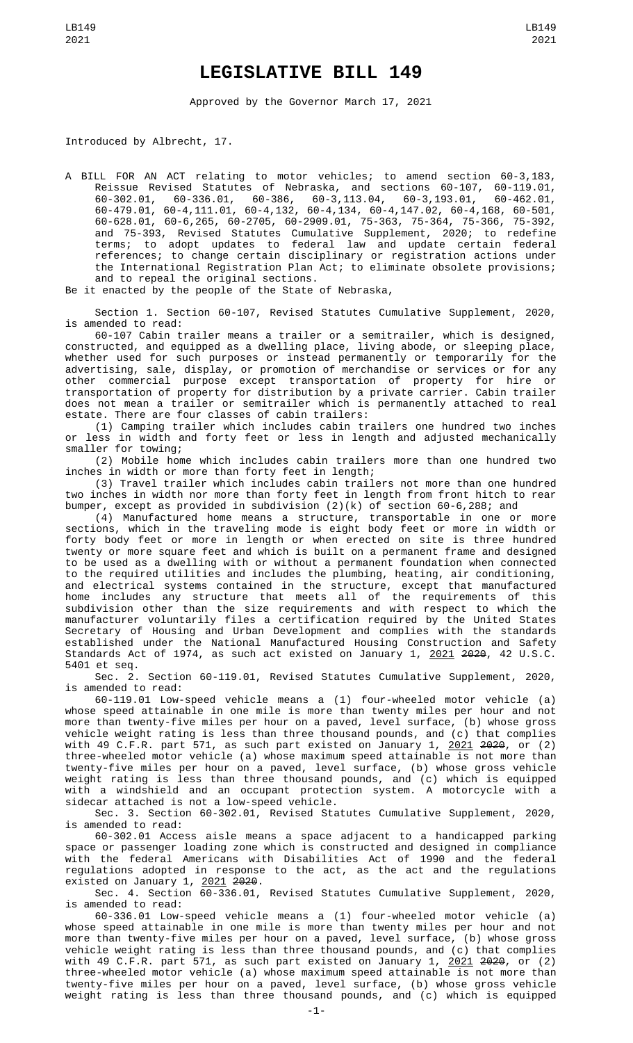## **LEGISLATIVE BILL 149**

Approved by the Governor March 17, 2021

Introduced by Albrecht, 17.

A BILL FOR AN ACT relating to motor vehicles; to amend section 60-3,183, Reissue Revised Statutes of Nebraska, and sections 60-107, 60-119.01, 60-302.01, 60-336.01, 60-386, 60-3,113.04, 60-3,193.01, 60-462.01, 60-479.01, 60-4,111.01, 60-4,132, 60-4,134, 60-4,147.02, 60-4,168, 60-501, 60-628.01, 60-6,265, 60-2705, 60-2909.01, 75-363, 75-364, 75-366, 75-392, and 75-393, Revised Statutes Cumulative Supplement, 2020; to redefine terms; to adopt updates to federal law and update certain federal references; to change certain disciplinary or registration actions under the International Registration Plan Act; to eliminate obsolete provisions; and to repeal the original sections.

Be it enacted by the people of the State of Nebraska,

Section 1. Section 60-107, Revised Statutes Cumulative Supplement, 2020, is amended to read:

60-107 Cabin trailer means a trailer or a semitrailer, which is designed, constructed, and equipped as a dwelling place, living abode, or sleeping place, whether used for such purposes or instead permanently or temporarily for the advertising, sale, display, or promotion of merchandise or services or for any other commercial purpose except transportation of property for hire or transportation of property for distribution by a private carrier. Cabin trailer does not mean a trailer or semitrailer which is permanently attached to real estate. There are four classes of cabin trailers:

(1) Camping trailer which includes cabin trailers one hundred two inches or less in width and forty feet or less in length and adjusted mechanically smaller for towing;

(2) Mobile home which includes cabin trailers more than one hundred two inches in width or more than forty feet in length;

(3) Travel trailer which includes cabin trailers not more than one hundred two inches in width nor more than forty feet in length from front hitch to rear bumper, except as provided in subdivision (2)(k) of section 60-6,288; and

(4) Manufactured home means a structure, transportable in one or more sections, which in the traveling mode is eight body feet or more in width or forty body feet or more in length or when erected on site is three hundred twenty or more square feet and which is built on a permanent frame and designed to be used as a dwelling with or without a permanent foundation when connected to the required utilities and includes the plumbing, heating, air conditioning, and electrical systems contained in the structure, except that manufactured home includes any structure that meets all of the requirements of this subdivision other than the size requirements and with respect to which the manufacturer voluntarily files a certification required by the United States Secretary of Housing and Urban Development and complies with the standards established under the National Manufactured Housing Construction and Safety Standards Act of 1974, as such act existed on January 1, 2021 2020, 42 U.S.C. 5401 et seq.

Sec. 2. Section 60-119.01, Revised Statutes Cumulative Supplement, 2020, is amended to read:

60-119.01 Low-speed vehicle means a (1) four-wheeled motor vehicle (a) whose speed attainable in one mile is more than twenty miles per hour and not more than twenty-five miles per hour on a paved, level surface, (b) whose gross vehicle weight rating is less than three thousand pounds, and (c) that complies with 49 C.F.R. part 571, as such part existed on January 1, <u>2021</u> <del>2020</del>, or (2) three-wheeled motor vehicle (a) whose maximum speed attainable is not more than twenty-five miles per hour on a paved, level surface, (b) whose gross vehicle weight rating is less than three thousand pounds, and (c) which is equipped with a windshield and an occupant protection system. A motorcycle with a sidecar attached is not a low-speed vehicle.

Sec. 3. Section 60-302.01, Revised Statutes Cumulative Supplement, 2020, is amended to read:

60-302.01 Access aisle means a space adjacent to a handicapped parking space or passenger loading zone which is constructed and designed in compliance with the federal Americans with Disabilities Act of 1990 and the federal regulations adopted in response to the act, as the act and the regulations existed on January 1, <u>2021</u> <del>2020</del>.

Sec. 4. Section 60-336.01, Revised Statutes Cumulative Supplement, 2020, is amended to read:

60-336.01 Low-speed vehicle means a (1) four-wheeled motor vehicle (a) whose speed attainable in one mile is more than twenty miles per hour and not more than twenty-five miles per hour on a paved, level surface, (b) whose gross vehicle weight rating is less than three thousand pounds, and (c) that complies with 49 C.F.R. part 571, as such part existed on January 1, <u>2021</u> <del>2020</del>, or (2) three-wheeled motor vehicle (a) whose maximum speed attainable is not more than twenty-five miles per hour on a paved, level surface, (b) whose gross vehicle weight rating is less than three thousand pounds, and (c) which is equipped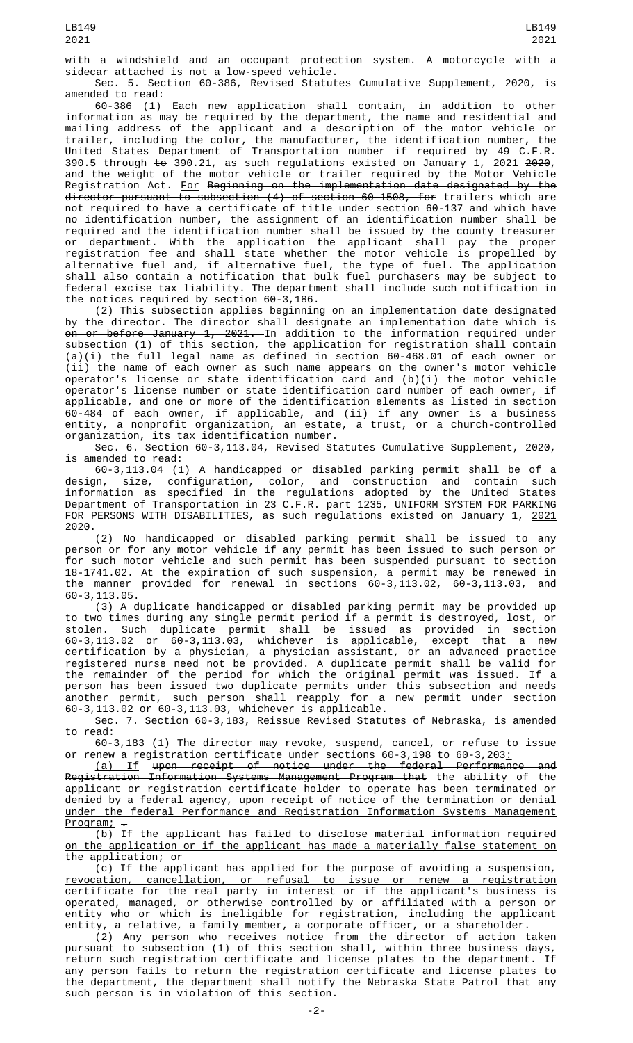with a windshield and an occupant protection system. A motorcycle with a sidecar attached is not a low-speed vehicle.

Sec. 5. Section 60-386, Revised Statutes Cumulative Supplement, 2020, is amended to read:

60-386 (1) Each new application shall contain, in addition to other information as may be required by the department, the name and residential and mailing address of the applicant and a description of the motor vehicle or trailer, including the color, the manufacturer, the identification number, the United States Department of Transportation number if required by 49 C.F.R. 390.5 <u>through</u> <del>to</del> 390.21, as such regulations existed on January 1, <u>2021</u> <del>2020</del>, and the weight of the motor vehicle or trailer required by the Motor Vehicle Registration Act. <u>For</u> <del>Beginning on the implementation date designated by the</del> director pursuant to subsection (4) of section 60-1508, for trailers which are not required to have a certificate of title under section 60-137 and which have no identification number, the assignment of an identification number shall be required and the identification number shall be issued by the county treasurer or department. With the application the applicant shall pay the proper registration fee and shall state whether the motor vehicle is propelled by alternative fuel and, if alternative fuel, the type of fuel. The application shall also contain a notification that bulk fuel purchasers may be subject to federal excise tax liability. The department shall include such notification in the notices required by section 60-3,186.

(2) This subsection applies beginning on an implementation date designated by the director. The director shall designate an implementation date which is <del>on or before January 1, 2021.</del> In addition to the information required under subsection (1) of this section, the application for registration shall contain (a)(i) the full legal name as defined in section 60-468.01 of each owner or (ii) the name of each owner as such name appears on the owner's motor vehicle operator's license or state identification card and (b)(i) the motor vehicle operator's license number or state identification card number of each owner, if applicable, and one or more of the identification elements as listed in section 60-484 of each owner, if applicable, and (ii) if any owner is a business entity, a nonprofit organization, an estate, a trust, or a church-controlled organization, its tax identification number.

Sec. 6. Section 60-3,113.04, Revised Statutes Cumulative Supplement, 2020, is amended to read:

60-3,113.04 (1) A handicapped or disabled parking permit shall be of a design, size, configuration, color, and construction and contain such information as specified in the regulations adopted by the United States Department of Transportation in 23 C.F.R. part 1235, UNIFORM SYSTEM FOR PARKING FOR PERSONS WITH DISABILITIES, as such regulations existed on January 1, 2021 2020.

(2) No handicapped or disabled parking permit shall be issued to any person or for any motor vehicle if any permit has been issued to such person or for such motor vehicle and such permit has been suspended pursuant to section 18-1741.02. At the expiration of such suspension, a permit may be renewed in provided for renewal in sections  $60-3,113.02$ ,  $60-3,113.03$ , and 60-3,113.05.

(3) A duplicate handicapped or disabled parking permit may be provided up to two times during any single permit period if a permit is destroyed, lost, or stolen. Such duplicate permit shall be issued as provided in section 60-3,113.02 or 60-3,113.03, whichever is applicable, except that a new certification by a physician, a physician assistant, or an advanced practice registered nurse need not be provided. A duplicate permit shall be valid for the remainder of the period for which the original permit was issued. If a person has been issued two duplicate permits under this subsection and needs another permit, such person shall reapply for a new permit under section 60-3,113.02 or 60-3,113.03, whichever is applicable.

Sec. 7. Section 60-3,183, Reissue Revised Statutes of Nebraska, is amended to read:

60-3,183 (1) The director may revoke, suspend, cancel, or refuse to issue or renew a registration certificate under sections 60-3,198 to 60-3,203:

(a) If upon receipt of notice under the federal Performance and Registration Information Systems Management Program that the ability of the applicant or registration certificate holder to operate has been terminated or denied by a federal agency, upon receipt of notice of the termination or denial under the federal Performance and Registration Information Systems Management

 $\frac{\text{Program:}}{\text{(b) If}}$ the applicant has failed to disclose material information required on the application or if the applicant has made a materially false statement on the application; or

(c) If the applicant has applied for the purpose of avoiding a suspension, revocation, cancellation, or refusal to issue or renew a registration certificate for the real party in interest or if the applicant's business is operated, managed, or otherwise controlled by or affiliated with a person or entity who or which is ineligible for registration, including the applicant entity, a relative, a family member, a corporate officer, or a shareholder.

(2) Any person who receives notice from the director of action taken pursuant to subsection (1) of this section shall, within three business days, return such registration certificate and license plates to the department. If any person fails to return the registration certificate and license plates to the department, the department shall notify the Nebraska State Patrol that any such person is in violation of this section.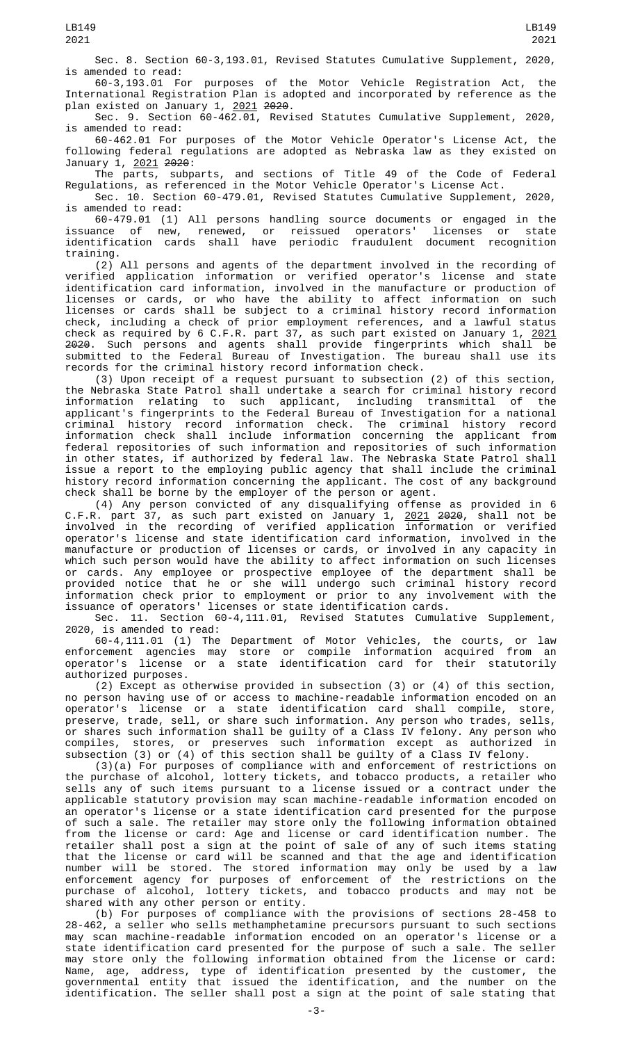Sec. 8. Section 60-3,193.01, Revised Statutes Cumulative Supplement, 2020, is amended to read:

60-3,193.01 For purposes of the Motor Vehicle Registration Act, the International Registration Plan is adopted and incorporated by reference as the plan existed on January 1, 2021 2020.

Sec. 9. Section 60-462.01, Revised Statutes Cumulative Supplement, 2020, is amended to read:

60-462.01 For purposes of the Motor Vehicle Operator's License Act, the following federal regulations are adopted as Nebraska law as they existed on January 1, 2021 2020:

The parts, subparts, and sections of Title 49 of the Code of Federal Regulations, as referenced in the Motor Vehicle Operator's License Act.

Sec. 10. Section 60-479.01, Revised Statutes Cumulative Supplement, 2020, is amended to read:

60-479.01 (1) All persons handling source documents or engaged in the issuance of new, renewed, or reissued operators' licenses or state identification cards shall have periodic fraudulent document recognition training.

(2) All persons and agents of the department involved in the recording of verified application information or verified operator's license and state identification card information, involved in the manufacture or production of licenses or cards, or who have the ability to affect information on such licenses or cards shall be subject to a criminal history record information check, including a check of prior employment references, and a lawful status check as required by 6 C.F.R. part 37, as such part existed on January 1, <u>2021</u> <del>2020</del>. Such persons and agents shall provide fingerprints which shall be submitted to the Federal Bureau of Investigation. The bureau shall use its records for the criminal history record information check.

(3) Upon receipt of a request pursuant to subsection (2) of this section, the Nebraska State Patrol shall undertake a search for criminal history record information relating to such applicant, including transmittal of the applicant's fingerprints to the Federal Bureau of Investigation for a national criminal history record information check. The criminal history record information check shall include information concerning the applicant from federal repositories of such information and repositories of such information in other states, if authorized by federal law. The Nebraska State Patrol shall issue a report to the employing public agency that shall include the criminal history record information concerning the applicant. The cost of any background check shall be borne by the employer of the person or agent.

(4) Any person convicted of any disqualifying offense as provided in 6 C.F.R. part 37, as such part existed on January 1, <u>2021</u> <del>2020</del>, shall not be involved in the recording of verified application information or verified operator's license and state identification card information, involved in the manufacture or production of licenses or cards, or involved in any capacity in which such person would have the ability to affect information on such licenses or cards. Any employee or prospective employee of the department shall be provided notice that he or she will undergo such criminal history record information check prior to employment or prior to any involvement with the issuance of operators' licenses or state identification cards.

Sec. 11. Section 60-4,111.01, Revised Statutes Cumulative Supplement, 2020, is amended to read:

60-4,111.01 (1) The Department of Motor Vehicles, the courts, or law enforcement agencies may store or compile information acquired from an operator's license or a state identification card for their statutorily authorized purposes.

(2) Except as otherwise provided in subsection (3) or (4) of this section, no person having use of or access to machine-readable information encoded on an operator's license or a state identification card shall compile, store, preserve, trade, sell, or share such information. Any person who trades, sells, or shares such information shall be guilty of a Class IV felony. Any person who compiles, stores, or preserves such information except as authorized in subsection (3) or (4) of this section shall be guilty of a Class IV felony.

(3)(a) For purposes of compliance with and enforcement of restrictions on the purchase of alcohol, lottery tickets, and tobacco products, a retailer who sells any of such items pursuant to a license issued or a contract under the applicable statutory provision may scan machine-readable information encoded on an operator's license or a state identification card presented for the purpose of such a sale. The retailer may store only the following information obtained from the license or card: Age and license or card identification number. The retailer shall post a sign at the point of sale of any of such items stating that the license or card will be scanned and that the age and identification number will be stored. The stored information may only be used by a law enforcement agency for purposes of enforcement of the restrictions on the purchase of alcohol, lottery tickets, and tobacco products and may not be shared with any other person or entity.

(b) For purposes of compliance with the provisions of sections 28-458 to 28-462, a seller who sells methamphetamine precursors pursuant to such sections may scan machine-readable information encoded on an operator's license or a state identification card presented for the purpose of such a sale. The seller may store only the following information obtained from the license or card: Name, age, address, type of identification presented by the customer, the governmental entity that issued the identification, and the number on the identification. The seller shall post a sign at the point of sale stating that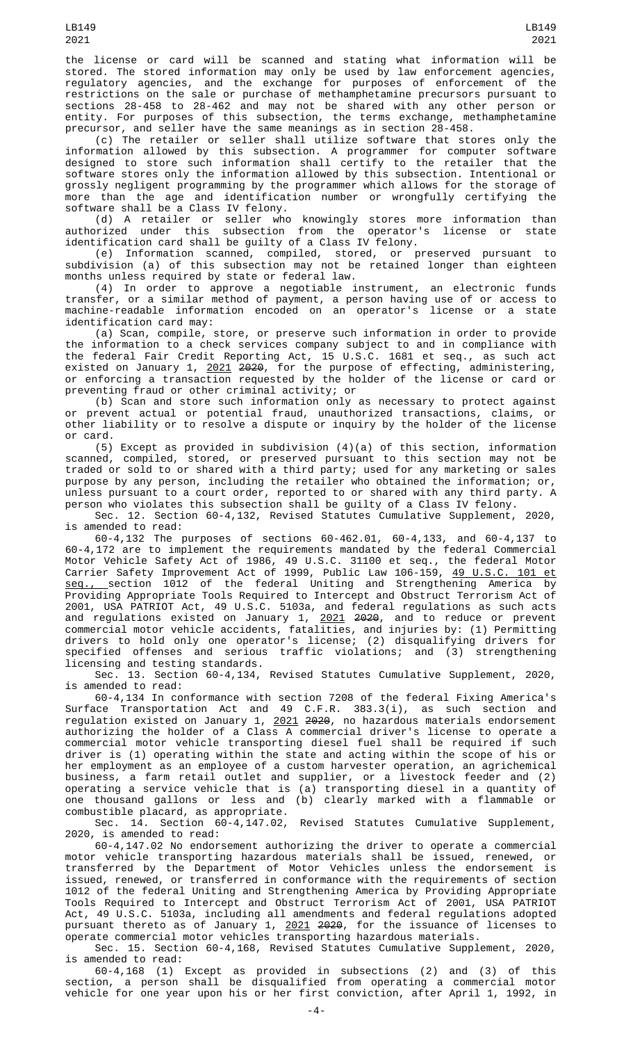(c) The retailer or seller shall utilize software that stores only the information allowed by this subsection. A programmer for computer software designed to store such information shall certify to the retailer that the software stores only the information allowed by this subsection. Intentional or grossly negligent programming by the programmer which allows for the storage of more than the age and identification number or wrongfully certifying the software shall be a Class IV felony.

(d) A retailer or seller who knowingly stores more information than authorized under this subsection from the operator's license or state identification card shall be guilty of a Class IV felony.

(e) Information scanned, compiled, stored, or preserved pursuant to subdivision (a) of this subsection may not be retained longer than eighteen months unless required by state or federal law.

(4) In order to approve a negotiable instrument, an electronic funds transfer, or a similar method of payment, a person having use of or access to machine-readable information encoded on an operator's license or a state identification card may:

(a) Scan, compile, store, or preserve such information in order to provide the information to a check services company subject to and in compliance with the federal Fair Credit Reporting Act, 15 U.S.C. 1681 et seq., as such act existed on January 1, <u>2021</u> <del>2020</del>, for the purpose of effecting, administering, or enforcing a transaction requested by the holder of the license or card or preventing fraud or other criminal activity; or

(b) Scan and store such information only as necessary to protect against or prevent actual or potential fraud, unauthorized transactions, claims, or other liability or to resolve a dispute or inquiry by the holder of the license or card.

(5) Except as provided in subdivision (4)(a) of this section, information scanned, compiled, stored, or preserved pursuant to this section may not be traded or sold to or shared with a third party; used for any marketing or sales purpose by any person, including the retailer who obtained the information; or, unless pursuant to a court order, reported to or shared with any third party. A person who violates this subsection shall be guilty of a Class IV felony.

Sec. 12. Section 60-4,132, Revised Statutes Cumulative Supplement, 2020, is amended to read:

60-4,132 The purposes of sections 60-462.01, 60-4,133, and 60-4,137 to 60-4,172 are to implement the requirements mandated by the federal Commercial Motor Vehicle Safety Act of 1986, 49 U.S.C. 31100 et seq., the federal Motor Carrier Safety Improvement Act of 1999, Public Law 106-159, 49 U.S.C. 101 et <u>seq., s</u>ection 1012 of the federal Uniting and Strengthening America by Providing Appropriate Tools Required to Intercept and Obstruct Terrorism Act of 2001, USA PATRIOT Act, 49 U.S.C. 5103a, and federal regulations as such acts and regulations existed on January 1, <u>2021</u> <del>2020</del>, and to reduce or prevent commercial motor vehicle accidents, fatalities, and injuries by: (1) Permitting drivers to hold only one operator's license; (2) disqualifying drivers for specified offenses and serious traffic violations; and (3) strengthening licensing and testing standards.

Sec. 13. Section 60-4,134, Revised Statutes Cumulative Supplement, 2020, is amended to read:

60-4,134 In conformance with section 7208 of the federal Fixing America's Surface Transportation Act and 49 C.F.R. 383.3(i), as such section and regulation existed on January 1, 2021 2020, no hazardous materials endorsement authorizing the holder of a Class A commercial driver's license to operate a commercial motor vehicle transporting diesel fuel shall be required if such driver is (1) operating within the state and acting within the scope of his or her employment as an employee of a custom harvester operation, an agrichemical business, a farm retail outlet and supplier, or a livestock feeder and (2) operating a service vehicle that is (a) transporting diesel in a quantity of one thousand gallons or less and (b) clearly marked with a flammable or combustible placard, as appropriate.

Sec. 14. Section 60-4,147.02, Revised Statutes Cumulative Supplement, 2020, is amended to read:

60-4,147.02 No endorsement authorizing the driver to operate a commercial motor vehicle transporting hazardous materials shall be issued, renewed, or transferred by the Department of Motor Vehicles unless the endorsement is issued, renewed, or transferred in conformance with the requirements of section 1012 of the federal Uniting and Strengthening America by Providing Appropriate Tools Required to Intercept and Obstruct Terrorism Act of 2001, USA PATRIOT Act, 49 U.S.C. 5103a, including all amendments and federal regulations adopted pursuant thereto as of January 1, <u>2021</u> <del>2020</del>, for the issuance of licenses to operate commercial motor vehicles transporting hazardous materials.

Sec. 15. Section 60-4,168, Revised Statutes Cumulative Supplement, 2020, is amended to read:

60-4,168 (1) Except as provided in subsections (2) and (3) of this section, a person shall be disqualified from operating a commercial motor vehicle for one year upon his or her first conviction, after April 1, 1992, in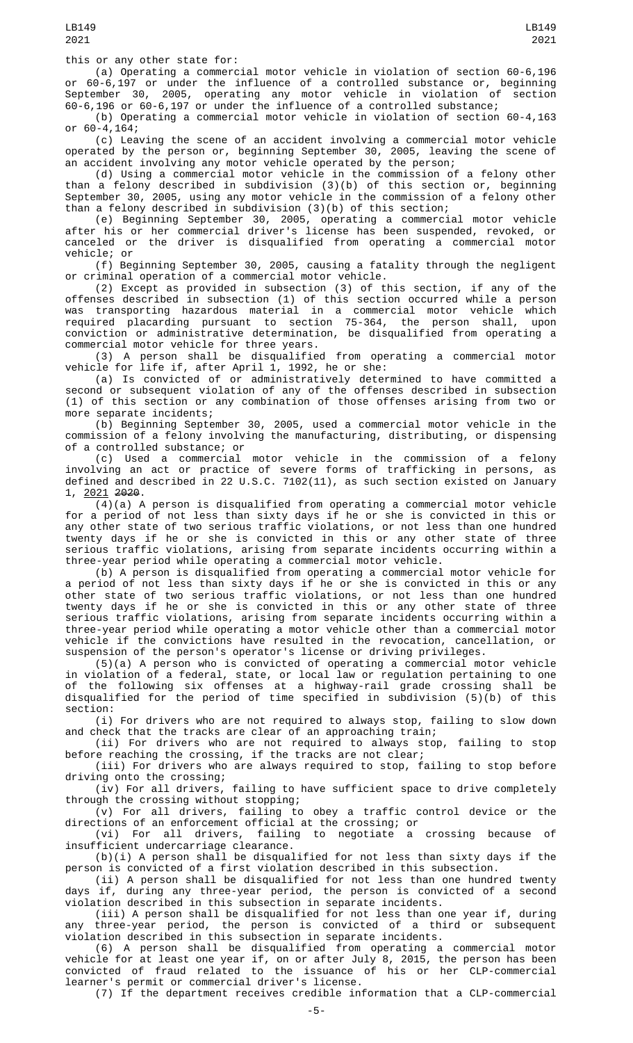(a) Operating a commercial motor vehicle in violation of section 60-6,196 or 60-6,197 or under the influence of a controlled substance or, beginning September 30, 2005, operating any motor vehicle in violation of section 60-6,196 or 60-6,197 or under the influence of a controlled substance;

(b) Operating a commercial motor vehicle in violation of section 60-4,163 or 60-4,164;

(c) Leaving the scene of an accident involving a commercial motor vehicle operated by the person or, beginning September 30, 2005, leaving the scene of an accident involving any motor vehicle operated by the person;

(d) Using a commercial motor vehicle in the commission of a felony other than a felony described in subdivision (3)(b) of this section or, beginning September 30, 2005, using any motor vehicle in the commission of a felony other than a felony described in subdivision (3)(b) of this section;

(e) Beginning September 30, 2005, operating a commercial motor vehicle after his or her commercial driver's license has been suspended, revoked, or canceled or the driver is disqualified from operating a commercial motor vehicle; or

(f) Beginning September 30, 2005, causing a fatality through the negligent or criminal operation of a commercial motor vehicle.

(2) Except as provided in subsection (3) of this section, if any of the offenses described in subsection (1) of this section occurred while a person was transporting hazardous material in a commercial motor vehicle which required placarding pursuant to section 75-364, the person shall, upon conviction or administrative determination, be disqualified from operating a commercial motor vehicle for three years.

(3) A person shall be disqualified from operating a commercial motor vehicle for life if, after April 1, 1992, he or she:

(a) Is convicted of or administratively determined to have committed a second or subsequent violation of any of the offenses described in subsection (1) of this section or any combination of those offenses arising from two or more separate incidents;

(b) Beginning September 30, 2005, used a commercial motor vehicle in the commission of a felony involving the manufacturing, distributing, or dispensing of a controlled substance; or

(c) Used a commercial motor vehicle in the commission of a felony involving an act or practice of severe forms of trafficking in persons, as defined and described in 22 U.S.C. 7102(11), as such section existed on January 1, 2021 2020.

 $\overline{(4)}$ (a) A person is disqualified from operating a commercial motor vehicle for a period of not less than sixty days if he or she is convicted in this or any other state of two serious traffic violations, or not less than one hundred twenty days if he or she is convicted in this or any other state of three serious traffic violations, arising from separate incidents occurring within a three-year period while operating a commercial motor vehicle.

(b) A person is disqualified from operating a commercial motor vehicle for a period of not less than sixty days if he or she is convicted in this or any other state of two serious traffic violations, or not less than one hundred twenty days if he or she is convicted in this or any other state of three serious traffic violations, arising from separate incidents occurring within a three-year period while operating a motor vehicle other than a commercial motor vehicle if the convictions have resulted in the revocation, cancellation, or suspension of the person's operator's license or driving privileges.

(5)(a) A person who is convicted of operating a commercial motor vehicle in violation of a federal, state, or local law or regulation pertaining to one of the following six offenses at a highway-rail grade crossing shall be disqualified for the period of time specified in subdivision (5)(b) of this section:

(i) For drivers who are not required to always stop, failing to slow down and check that the tracks are clear of an approaching train;

(ii) For drivers who are not required to always stop, failing to stop before reaching the crossing, if the tracks are not clear;

(iii) For drivers who are always required to stop, failing to stop before driving onto the crossing;

(iv) For all drivers, failing to have sufficient space to drive completely through the crossing without stopping;

(v) For all drivers, failing to obey a traffic control device or the directions of an enforcement official at the crossing; or<br>(vi) For all drivers, failing to negotiate a

failing to negotiate a crossing because of insufficient undercarriage clearance.

(b)(i) A person shall be disqualified for not less than sixty days if the person is convicted of a first violation described in this subsection.

(ii) A person shall be disqualified for not less than one hundred twenty days if, during any three-year period, the person is convicted of a second violation described in this subsection in separate incidents.

(iii) A person shall be disqualified for not less than one year if, during any three-year period, the person is convicted of a third or subsequent violation described in this subsection in separate incidents.

(6) A person shall be disqualified from operating a commercial motor vehicle for at least one year if, on or after July 8, 2015, the person has been convicted of fraud related to the issuance of his or her CLP-commercial learner's permit or commercial driver's license.

(7) If the department receives credible information that a CLP-commercial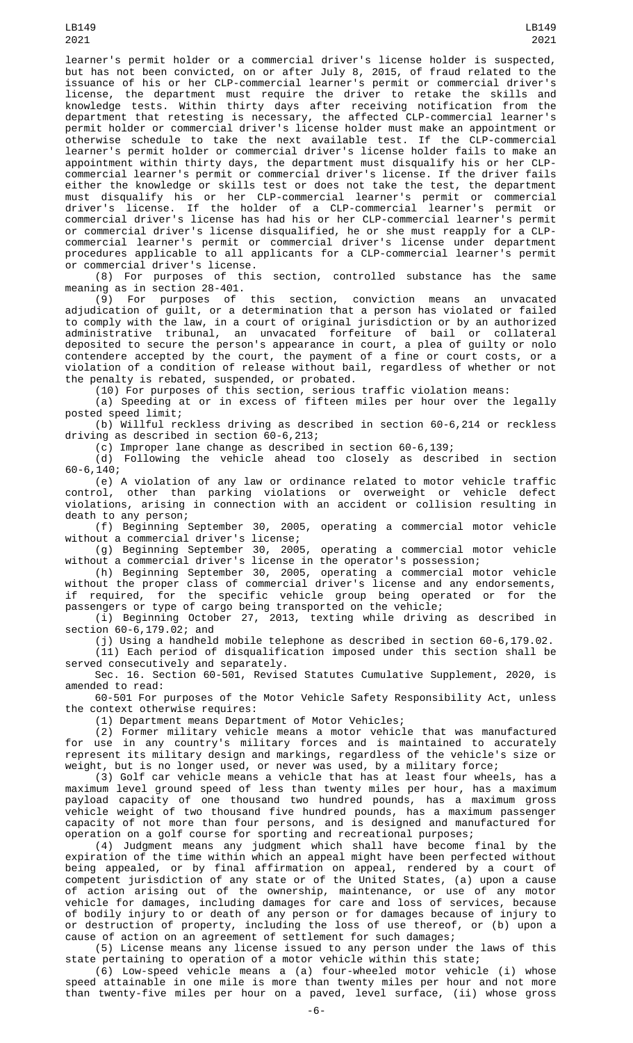LB149

but has not been convicted, on or after July 8, 2015, of fraud related to the issuance of his or her CLP-commercial learner's permit or commercial driver's license, the department must require the driver to retake the skills and knowledge tests. Within thirty days after receiving notification from the department that retesting is necessary, the affected CLP-commercial learner's permit holder or commercial driver's license holder must make an appointment or otherwise schedule to take the next available test. If the CLP-commercial learner's permit holder or commercial driver's license holder fails to make an appointment within thirty days, the department must disqualify his or her CLPcommercial learner's permit or commercial driver's license. If the driver fails either the knowledge or skills test or does not take the test, the department must disqualify his or her CLP-commercial learner's permit or commercial driver's license. If the holder of a CLP-commercial learner's permit or commercial driver's license has had his or her CLP-commercial learner's permit or commercial driver's license disqualified, he or she must reapply for a CLPcommercial learner's permit or commercial driver's license under department procedures applicable to all applicants for a CLP-commercial learner's permit or commercial driver's license.

(8) For purposes of this section, controlled substance has the same meaning as in section 28-401.

(9) For purposes of this section, conviction means an unvacated adjudication of guilt, or a determination that a person has violated or failed to comply with the law, in a court of original jurisdiction or by an authorized administrative tribunal, an unvacated forfeiture of bail or collateral deposited to secure the person's appearance in court, a plea of guilty or nolo contendere accepted by the court, the payment of a fine or court costs, or a violation of a condition of release without bail, regardless of whether or not the penalty is rebated, suspended, or probated.

(10) For purposes of this section, serious traffic violation means:

(a) Speeding at or in excess of fifteen miles per hour over the legally posted speed limit;

(b) Willful reckless driving as described in section 60-6,214 or reckless driving as described in section  $60-6$ , 213;

(c) Improper lane change as described in section 60-6,139;

(d) Following the vehicle ahead too closely as described in section 60-6,140;

(e) A violation of any law or ordinance related to motor vehicle traffic<br>control, other than parking violations or overweight or vehicle defect other than parking violations or overweight or vehicle violations, arising in connection with an accident or collision resulting in death to any person;

(f) Beginning September 30, 2005, operating a commercial motor vehicle without a commercial driver's license;

(g) Beginning September 30, 2005, operating a commercial motor vehicle without a commercial driver's license in the operator's possession;

(h) Beginning September 30, 2005, operating a commercial motor vehicle without the proper class of commercial driver's license and any endorsements, if required, for the specific vehicle group being operated or for the passengers or type of cargo being transported on the vehicle;

(i) Beginning October 27, 2013, texting while driving as described in section 60-6,179.02; and

(j) Using a handheld mobile telephone as described in section 60-6,179.02.

(11) Each period of disqualification imposed under this section shall be served consecutively and separately.

Sec. 16. Section 60-501, Revised Statutes Cumulative Supplement, 2020, is amended to read:

60-501 For purposes of the Motor Vehicle Safety Responsibility Act, unless the context otherwise requires:

(1) Department means Department of Motor Vehicles;

(2) Former military vehicle means a motor vehicle that was manufactured for use in any country's military forces and is maintained to accurately represent its military design and markings, regardless of the vehicle's size or weight, but is no longer used, or never was used, by a military force;

(3) Golf car vehicle means a vehicle that has at least four wheels, has a maximum level ground speed of less than twenty miles per hour, has a maximum payload capacity of one thousand two hundred pounds, has a maximum gross vehicle weight of two thousand five hundred pounds, has a maximum passenger capacity of not more than four persons, and is designed and manufactured for operation on a golf course for sporting and recreational purposes;

(4) Judgment means any judgment which shall have become final by the expiration of the time within which an appeal might have been perfected without being appealed, or by final affirmation on appeal, rendered by a court of competent jurisdiction of any state or of the United States, (a) upon a cause of action arising out of the ownership, maintenance, or use of any motor vehicle for damages, including damages for care and loss of services, because of bodily injury to or death of any person or for damages because of injury to or destruction of property, including the loss of use thereof, or (b) upon a cause of action on an agreement of settlement for such damages;

(5) License means any license issued to any person under the laws of this state pertaining to operation of a motor vehicle within this state;

(6) Low-speed vehicle means a (a) four-wheeled motor vehicle (i) whose speed attainable in one mile is more than twenty miles per hour and not more than twenty-five miles per hour on a paved, level surface, (ii) whose gross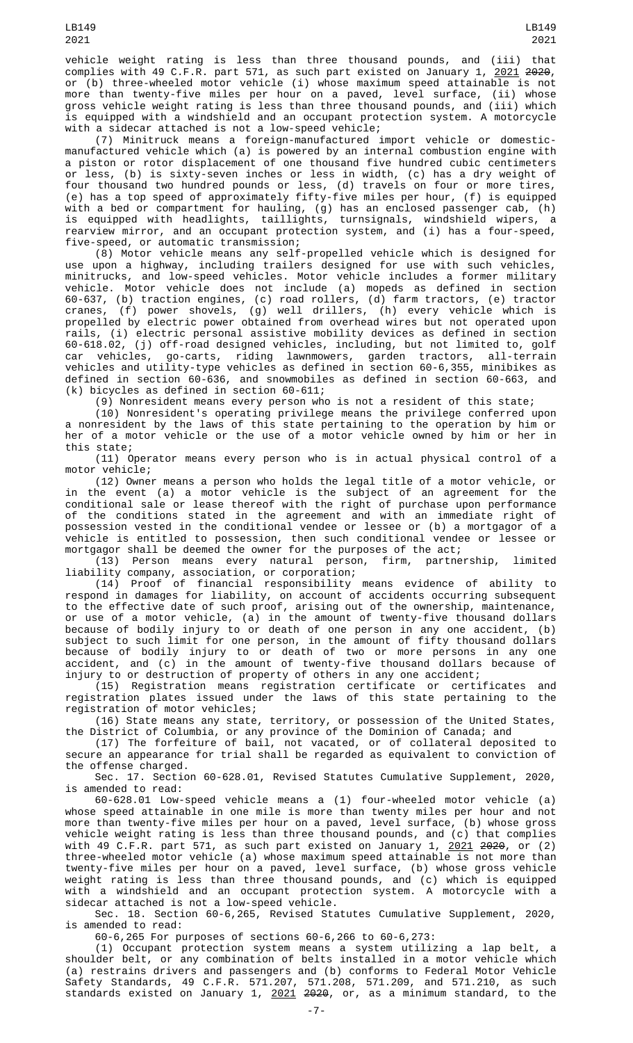vehicle weight rating is less than three thousand pounds, and (iii) that complies with 49 C.F.R. part 571, as such part existed on January 1, 2021 2020, or (b) three-wheeled motor vehicle (i) whose maximum speed attainable is not more than twenty-five miles per hour on a paved, level surface, (ii) whose gross vehicle weight rating is less than three thousand pounds, and (iii) which is equipped with a windshield and an occupant protection system. A motorcycle with a sidecar attached is not a low-speed vehicle;

(7) Minitruck means a foreign-manufactured import vehicle or domesticmanufactured vehicle which (a) is powered by an internal combustion engine with a piston or rotor displacement of one thousand five hundred cubic centimeters or less, (b) is sixty-seven inches or less in width, (c) has a dry weight of four thousand two hundred pounds or less, (d) travels on four or more tires, (e) has a top speed of approximately fifty-five miles per hour, (f) is equipped with a bed or compartment for hauling, (g) has an enclosed passenger cab, (h) is equipped with headlights, taillights, turnsignals, windshield wipers, a rearview mirror, and an occupant protection system, and (i) has a four-speed, five-speed, or automatic transmission;

(8) Motor vehicle means any self-propelled vehicle which is designed for use upon a highway, including trailers designed for use with such vehicles, minitrucks, and low-speed vehicles. Motor vehicle includes a former military vehicle. Motor vehicle does not include (a) mopeds as defined in section 60-637, (b) traction engines, (c) road rollers, (d) farm tractors, (e) tractor cranes, (f) power shovels, (g) well drillers, (h) every vehicle which is propelled by electric power obtained from overhead wires but not operated upon rails, (i) electric personal assistive mobility devices as defined in section 60-618.02, (j) off-road designed vehicles, including, but not limited to, golf car vehicles, go-carts, riding lawnmowers, garden tractors, all-terrain vehicles and utility-type vehicles as defined in section 60-6,355, minibikes as defined in section 60-636, and snowmobiles as defined in section 60-663, and (k) bicycles as defined in section 60-611;

(9) Nonresident means every person who is not a resident of this state;

(10) Nonresident's operating privilege means the privilege conferred upon a nonresident by the laws of this state pertaining to the operation by him or her of a motor vehicle or the use of a motor vehicle owned by him or her in this state;

(11) Operator means every person who is in actual physical control of a motor vehicle;

(12) Owner means a person who holds the legal title of a motor vehicle, or in the event (a) a motor vehicle is the subject of an agreement for the conditional sale or lease thereof with the right of purchase upon performance of the conditions stated in the agreement and with an immediate right of possession vested in the conditional vendee or lessee or (b) a mortgagor of a vehicle is entitled to possession, then such conditional vendee or lessee or mortgagor shall be deemed the owner for the purposes of the act;

(13) Person means every natural person, firm, partnership, limited liability company, association, or corporation;

(14) Proof of financial responsibility means evidence of ability to respond in damages for liability, on account of accidents occurring subsequent to the effective date of such proof, arising out of the ownership, maintenance, or use of a motor vehicle, (a) in the amount of twenty-five thousand dollars because of bodily injury to or death of one person in any one accident, (b) subject to such limit for one person, in the amount of fifty thousand dollars because of bodily injury to or death of two or more persons in any one accident, and (c) in the amount of twenty-five thousand dollars because of injury to or destruction of property of others in any one accident;

(15) Registration means registration certificate or certificates and registration plates issued under the laws of this state pertaining to the registration of motor vehicles;

(16) State means any state, territory, or possession of the United States, the District of Columbia, or any province of the Dominion of Canada; and

(17) The forfeiture of bail, not vacated, or of collateral deposited to secure an appearance for trial shall be regarded as equivalent to conviction of the offense charged.

Sec. 17. Section 60-628.01, Revised Statutes Cumulative Supplement, 2020, is amended to read:

60-628.01 Low-speed vehicle means a (1) four-wheeled motor vehicle (a) whose speed attainable in one mile is more than twenty miles per hour and not more than twenty-five miles per hour on a paved, level surface, (b) whose gross vehicle weight rating is less than three thousand pounds, and (c) that complies with 49 C.F.R. part 571, as such part existed on January 1, <u>2021</u> <del>2020</del>, or (2) three-wheeled motor vehicle (a) whose maximum speed attainable is not more than twenty-five miles per hour on a paved, level surface, (b) whose gross vehicle weight rating is less than three thousand pounds, and (c) which is equipped with a windshield and an occupant protection system. A motorcycle with a sidecar attached is not a low-speed vehicle.

Sec. 18. Section 60-6,265, Revised Statutes Cumulative Supplement, 2020, is amended to read:

60-6,265 For purposes of sections 60-6,266 to 60-6,273:

(1) Occupant protection system means a system utilizing a lap belt, a shoulder belt, or any combination of belts installed in a motor vehicle which (a) restrains drivers and passengers and (b) conforms to Federal Motor Vehicle Safety Standards, 49 C.F.R. 571.207, 571.208, 571.209, and 571.210, as such standards existed on January 1, <u>2021</u> <del>2020</del>, or, as a minimum standard, to the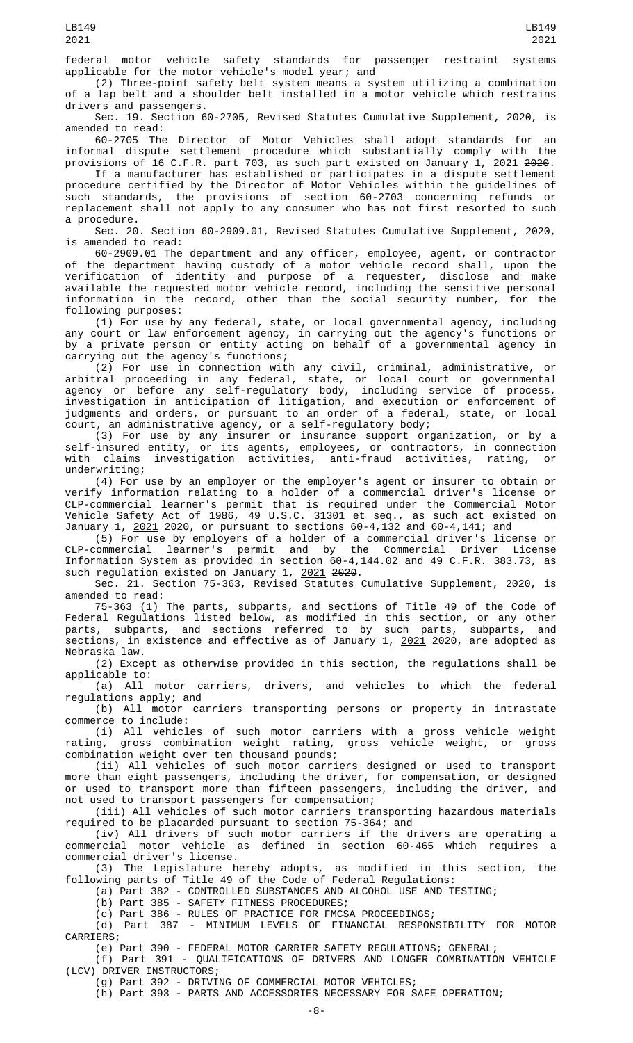(2) Three-point safety belt system means a system utilizing a combination of a lap belt and a shoulder belt installed in a motor vehicle which restrains drivers and passengers.

Sec. 19. Section 60-2705, Revised Statutes Cumulative Supplement, 2020, is amended to read:

60-2705 The Director of Motor Vehicles shall adopt standards for an informal dispute settlement procedure which substantially comply with the provisions of 16 C.F.R. part 703, as such part existed on January 1, <u>2021</u> <del>2020</del>.

If a manufacturer has established or participates in a dispute settlement procedure certified by the Director of Motor Vehicles within the guidelines of such standards, the provisions of section 60-2703 concerning refunds or replacement shall not apply to any consumer who has not first resorted to such a procedure.

Sec. 20. Section 60-2909.01, Revised Statutes Cumulative Supplement, 2020, is amended to read:

60-2909.01 The department and any officer, employee, agent, or contractor of the department having custody of a motor vehicle record shall, upon the verification of identity and purpose of a requester, disclose and make available the requested motor vehicle record, including the sensitive personal information in the record, other than the social security number, for the following purposes:

(1) For use by any federal, state, or local governmental agency, including any court or law enforcement agency, in carrying out the agency's functions or by a private person or entity acting on behalf of a governmental agency in carrying out the agency's functions;

(2) For use in connection with any civil, criminal, administrative, or arbitral proceeding in any federal, state, or local court or governmental agency or before any self-regulatory body, including service of process, investigation in anticipation of litigation, and execution or enforcement of judgments and orders, or pursuant to an order of a federal, state, or local court, an administrative agency, or a self-regulatory body;

(3) For use by any insurer or insurance support organization, or by a self-insured entity, or its agents, employees, or contractors, in connection with claims investigation activities, anti-fraud activities, rating, or underwriting;

(4) For use by an employer or the employer's agent or insurer to obtain or verify information relating to a holder of a commercial driver's license or CLP-commercial learner's permit that is required under the Commercial Motor Vehicle Safety Act of 1986, 49 U.S.C. 31301 et seq., as such act existed on January 1, 2021 2020, or pursuant to sections 60-4,132 and 60-4,141; and

(5) For use by employers of a holder of a commercial driver's license or CLP-commercial learner's permit and by the Commercial Driver License Information System as provided in section 60-4,144.02 and 49 C.F.R. 383.73, as such regulation existed on January 1, 2021 2020.

Sec. 21. Section 75-363, Revised Statutes Cumulative Supplement, 2020, is amended to read:

75-363 (1) The parts, subparts, and sections of Title 49 of the Code of Federal Regulations listed below, as modified in this section, or any other parts, subparts, and sections referred to by such parts, subparts, and sections, in existence and effective as of January 1, <u>2021</u> <del>2020</del>, are adopted as Nebraska law.

(2) Except as otherwise provided in this section, the regulations shall be applicable to:

(a) All motor carriers, drivers, and vehicles to which the federal regulations apply; and

(b) All motor carriers transporting persons or property in intrastate commerce to include:

(i) All vehicles of such motor carriers with a gross vehicle weight rating, gross combination weight rating, gross vehicle weight, or gross combination weight over ten thousand pounds;

(ii) All vehicles of such motor carriers designed or used to transport more than eight passengers, including the driver, for compensation, or designed or used to transport more than fifteen passengers, including the driver, and not used to transport passengers for compensation;

(iii) All vehicles of such motor carriers transporting hazardous materials required to be placarded pursuant to section 75-364; and

(iv) All drivers of such motor carriers if the drivers are operating a commercial motor vehicle as defined in section 60-465 which requires a commercial driver's license.

(3) The Legislature hereby adopts, as modified in this section, the following parts of Title 49 of the Code of Federal Regulations:

(a) Part 382 - CONTROLLED SUBSTANCES AND ALCOHOL USE AND TESTING;

(b) Part 385 - SAFETY FITNESS PROCEDURES;

(c) Part 386 - RULES OF PRACTICE FOR FMCSA PROCEEDINGS;

(d) Part 387 - MINIMUM LEVELS OF FINANCIAL RESPONSIBILITY FOR MOTOR CARRIERS;

(e) Part 390 - FEDERAL MOTOR CARRIER SAFETY REGULATIONS; GENERAL;

(f) Part 391 - QUALIFICATIONS OF DRIVERS AND LONGER COMBINATION VEHICLE (LCV) DRIVER INSTRUCTORS;

(g) Part 392 - DRIVING OF COMMERCIAL MOTOR VEHICLES;

(h) Part 393 - PARTS AND ACCESSORIES NECESSARY FOR SAFE OPERATION;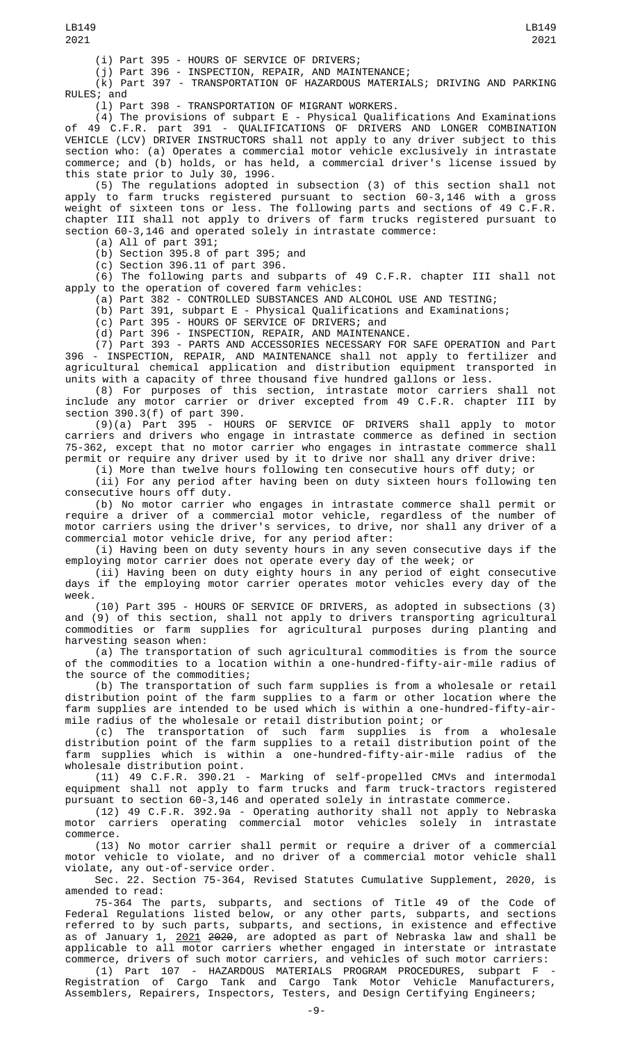(i) Part 395 - HOURS OF SERVICE OF DRIVERS;

(j) Part 396 - INSPECTION, REPAIR, AND MAINTENANCE;

(k) Part 397 - TRANSPORTATION OF HAZARDOUS MATERIALS; DRIVING AND PARKING RULES; and

(l) Part 398 - TRANSPORTATION OF MIGRANT WORKERS.

(4) The provisions of subpart E - Physical Qualifications And Examinations of 49 C.F.R. part 391 - QUALIFICATIONS OF DRIVERS AND LONGER COMBINATION VEHICLE (LCV) DRIVER INSTRUCTORS shall not apply to any driver subject to this section who: (a) Operates a commercial motor vehicle exclusively in intrastate commerce; and (b) holds, or has held, a commercial driver's license issued by this state prior to July 30, 1996.

(5) The regulations adopted in subsection (3) of this section shall not apply to farm trucks registered pursuant to section 60-3,146 with a gross weight of sixteen tons or less. The following parts and sections of 49 C.F.R. chapter III shall not apply to drivers of farm trucks registered pursuant to section 60-3,146 and operated solely in intrastate commerce:

(a) All of part 391;

(b) Section 395.8 of part 395; and

 $(c)$  Section 396.11 of part 396.

(6) The following parts and subparts of 49 C.F.R. chapter III shall not apply to the operation of covered farm vehicles:

(a) Part 382 - CONTROLLED SUBSTANCES AND ALCOHOL USE AND TESTING;

(b) Part 391, subpart E - Physical Qualifications and Examinations;

(c) Part 395 - HOURS OF SERVICE OF DRIVERS; and

(d) Part 396 - INSPECTION, REPAIR, AND MAINTENANCE.

(7) Part 393 - PARTS AND ACCESSORIES NECESSARY FOR SAFE OPERATION and Part 396 - INSPECTION, REPAIR, AND MAINTENANCE shall not apply to fertilizer and agricultural chemical application and distribution equipment transported in units with a capacity of three thousand five hundred gallons or less.

(8) For purposes of this section, intrastate motor carriers shall not include any motor carrier or driver excepted from 49 C.F.R. chapter III by section 390.3(f) of part 390.

(9)(a) Part 395 - HOURS OF SERVICE OF DRIVERS shall apply to motor carriers and drivers who engage in intrastate commerce as defined in section 75-362, except that no motor carrier who engages in intrastate commerce shall permit or require any driver used by it to drive nor shall any driver drive:<br>(i) More than twelve hours following ten consecutive hours off duty; or

(i) More than twelve hours following ten consecutive hours off duty; or

(ii) For any period after having been on duty sixteen hours following ten consecutive hours off duty.

(b) No motor carrier who engages in intrastate commerce shall permit or require a driver of a commercial motor vehicle, regardless of the number of motor carriers using the driver's services, to drive, nor shall any driver of a commercial motor vehicle drive, for any period after:

(i) Having been on duty seventy hours in any seven consecutive days if the employing motor carrier does not operate every day of the week; or

(ii) Having been on duty eighty hours in any period of eight consecutive days if the employing motor carrier operates motor vehicles every day of the week.

(10) Part 395 - HOURS OF SERVICE OF DRIVERS, as adopted in subsections (3) and (9) of this section, shall not apply to drivers transporting agricultural commodities or farm supplies for agricultural purposes during planting and harvesting season when:

(a) The transportation of such agricultural commodities is from the source of the commodities to a location within a one-hundred-fifty-air-mile radius of the source of the commodities;

(b) The transportation of such farm supplies is from a wholesale or retail distribution point of the farm supplies to a farm or other location where the farm supplies are intended to be used which is within a one-hundred-fifty-airmile radius of the wholesale or retail distribution point; or

(c) The transportation of such farm supplies is from a wholesale distribution point of the farm supplies to a retail distribution point of the farm supplies which is within a one-hundred-fifty-air-mile radius of the wholesale distribution point.

(11) 49 C.F.R. 390.21 - Marking of self-propelled CMVs and intermodal equipment shall not apply to farm trucks and farm truck-tractors registered pursuant to section 60-3,146 and operated solely in intrastate commerce.

(12) 49 C.F.R. 392.9a - Operating authority shall not apply to Nebraska motor carriers operating commercial motor vehicles solely in intrastate commerce.

(13) No motor carrier shall permit or require a driver of a commercial motor vehicle to violate, and no driver of a commercial motor vehicle shall violate, any out-of-service order.

Sec. 22. Section 75-364, Revised Statutes Cumulative Supplement, 2020, is amended to read:

75-364 The parts, subparts, and sections of Title 49 of the Code of Federal Regulations listed below, or any other parts, subparts, and sections referred to by such parts, subparts, and sections, in existence and effective as of January 1, <u>2021</u> <del>2020</del>, are adopted as part of Nebraska law and shall be applicable to all motor carriers whether engaged in interstate or intrastate commerce, drivers of such motor carriers, and vehicles of such motor carriers:

(1) Part 107 - HAZARDOUS MATERIALS PROGRAM PROCEDURES, subpart F - Registration of Cargo Tank and Cargo Tank Motor Vehicle Manufacturers, Assemblers, Repairers, Inspectors, Testers, and Design Certifying Engineers;